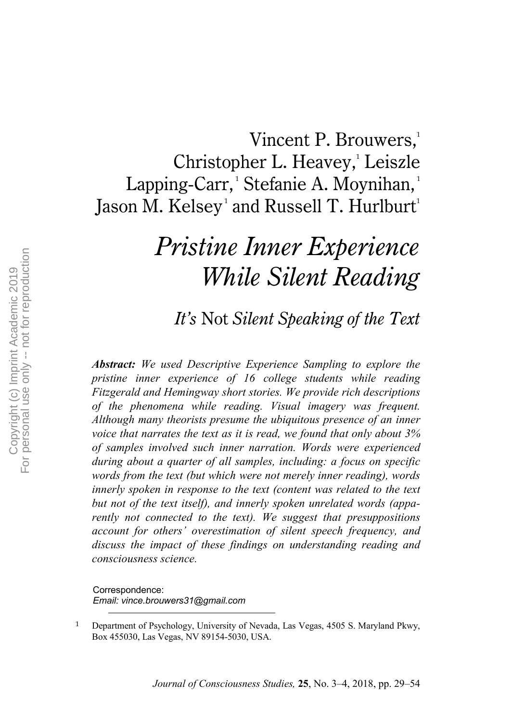## Vincent P. Brouwers,<sup>1</sup> Christopher L. Heavey, 1 Leiszle Lapping-Carr, 1 Stefanie A. Moynihan, 1 Jason M. Kelsey $^{\scriptscriptstyle\rm !}$  and Russell T. Hurlburt $^{\scriptscriptstyle\rm !}$

# *Pristine Inner Experience While Silent Reading*

### *It's* Not *Silent Speaking of the Text*

*Abstract: We used Descriptive Experience Sampling to explore the pristine inner experience of 16 college students while reading Fitzgerald and Hemingway short stories. We provide rich descriptions of the phenomena while reading. Visual imagery was frequent. Although many theorists presume the ubiquitous presence of an inner voice that narrates the text as it is read, we found that only about 3% of samples involved such inner narration. Words were experienced during about a quarter of all samples, including: a focus on specific words from the text (but which were not merely inner reading), words innerly spoken in response to the text (content was related to the text but not of the text itself), and innerly spoken unrelated words (apparently not connected to the text). We suggest that presuppositions account for others' overestimation of silent speech frequency, and discuss the impact of these findings on understanding reading and consciousness science.*

Correspondence: *Email: vince.brouwers31@gmail.com*

 <sup>1</sup> Department of Psychology, University of Nevada, Las Vegas, 4505 S. Maryland Pkwy, Box 455030, Las Vegas, NV 89154-5030, USA.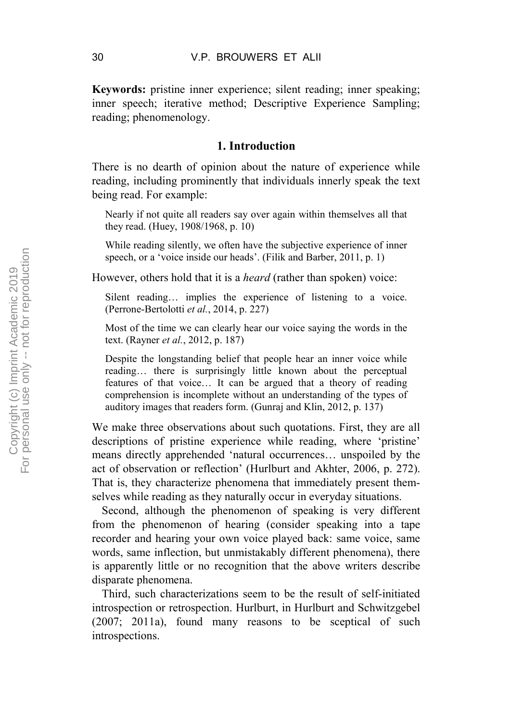**Keywords:** pristine inner experience; silent reading; inner speaking; inner speech; iterative method; Descriptive Experience Sampling; reading; phenomenology.

#### **1. Introduction**

There is no dearth of opinion about the nature of experience while reading, including prominently that individuals innerly speak the text being read. For example:

Nearly if not quite all readers say over again within themselves all that they read. (Huey, 1908/1968, p. 10)

While reading silently, we often have the subjective experience of inner speech, or a 'voice inside our heads'. (Filik and Barber, 2011, p. 1)

However, others hold that it is a *heard* (rather than spoken) voice:

Silent reading… implies the experience of listening to a voice. (Perrone-Bertolotti *et al.*, 2014, p. 227)

Most of the time we can clearly hear our voice saying the words in the text. (Rayner *et al.*, 2012, p. 187)

Despite the longstanding belief that people hear an inner voice while reading… there is surprisingly little known about the perceptual features of that voice… It can be argued that a theory of reading comprehension is incomplete without an understanding of the types of auditory images that readers form. (Gunraj and Klin, 2012, p. 137)

We make three observations about such quotations. First, they are all descriptions of pristine experience while reading, where 'pristine' means directly apprehended 'natural occurrences… unspoiled by the act of observation or reflection' (Hurlburt and Akhter, 2006, p. 272). That is, they characterize phenomena that immediately present themselves while reading as they naturally occur in everyday situations.

Second, although the phenomenon of speaking is very different from the phenomenon of hearing (consider speaking into a tape recorder and hearing your own voice played back: same voice, same words, same inflection, but unmistakably different phenomena), there is apparently little or no recognition that the above writers describe disparate phenomena.

Third, such characterizations seem to be the result of self-initiated introspection or retrospection. Hurlburt, in Hurlburt and Schwitzgebel (2007; 2011a), found many reasons to be sceptical of such introspections.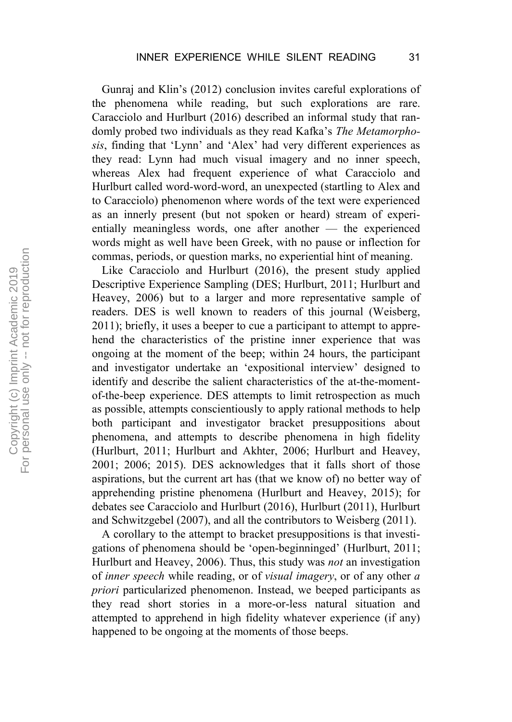Gunraj and Klin's (2012) conclusion invites careful explorations of the phenomena while reading, but such explorations are rare. Caracciolo and Hurlburt (2016) described an informal study that randomly probed two individuals as they read Kafka's *The Metamorphosis*, finding that 'Lynn' and 'Alex' had very different experiences as they read: Lynn had much visual imagery and no inner speech, whereas Alex had frequent experience of what Caracciolo and Hurlburt called word-word-word, an unexpected (startling to Alex and to Caracciolo) phenomenon where words of the text were experienced as an innerly present (but not spoken or heard) stream of experientially meaningless words, one after another — the experienced words might as well have been Greek, with no pause or inflection for commas, periods, or question marks, no experiential hint of meaning.

Like Caracciolo and Hurlburt (2016), the present study applied Descriptive Experience Sampling (DES; Hurlburt, 2011; Hurlburt and Heavey, 2006) but to a larger and more representative sample of readers. DES is well known to readers of this journal (Weisberg, 2011); briefly, it uses a beeper to cue a participant to attempt to apprehend the characteristics of the pristine inner experience that was ongoing at the moment of the beep; within 24 hours, the participant and investigator undertake an 'expositional interview' designed to identify and describe the salient characteristics of the at-the-momentof-the-beep experience. DES attempts to limit retrospection as much as possible, attempts conscientiously to apply rational methods to help both participant and investigator bracket presuppositions about phenomena, and attempts to describe phenomena in high fidelity (Hurlburt, 2011; Hurlburt and Akhter, 2006; Hurlburt and Heavey, 2001; 2006; 2015). DES acknowledges that it falls short of those aspirations, but the current art has (that we know of) no better way of apprehending pristine phenomena (Hurlburt and Heavey, 2015); for debates see Caracciolo and Hurlburt (2016), Hurlburt (2011), Hurlburt and Schwitzgebel (2007), and all the contributors to Weisberg (2011).

A corollary to the attempt to bracket presuppositions is that investigations of phenomena should be 'open-beginninged' (Hurlburt, 2011; Hurlburt and Heavey, 2006). Thus, this study was *not* an investigation of *inner speech* while reading, or of *visual imagery*, or of any other *a priori* particularized phenomenon. Instead, we beeped participants as they read short stories in a more-or-less natural situation and attempted to apprehend in high fidelity whatever experience (if any) happened to be ongoing at the moments of those beeps.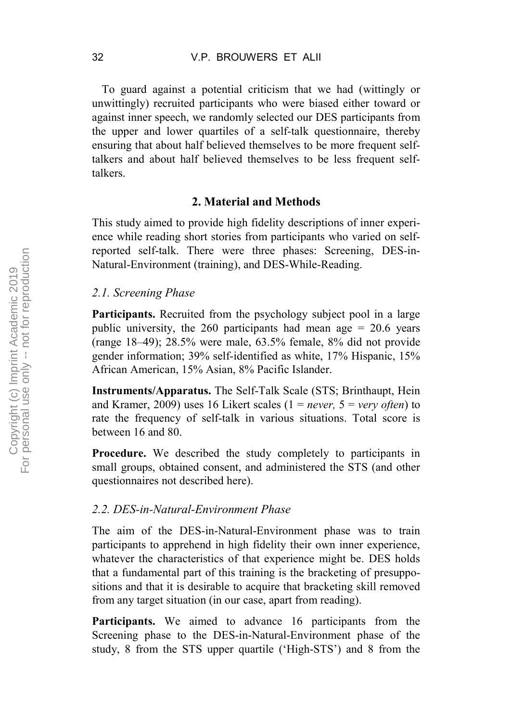To guard against a potential criticism that we had (wittingly or unwittingly) recruited participants who were biased either toward or against inner speech, we randomly selected our DES participants from the upper and lower quartiles of a self-talk questionnaire, thereby ensuring that about half believed themselves to be more frequent selftalkers and about half believed themselves to be less frequent selftalkers.

#### **2. Material and Methods**

This study aimed to provide high fidelity descriptions of inner experience while reading short stories from participants who varied on selfreported self-talk. There were three phases: Screening, DES-in-Natural-Environment (training), and DES-While-Reading.

#### *2.1. Screening Phase*

**Participants.** Recruited from the psychology subject pool in a large public university, the 260 participants had mean age  $= 20.6$  years (range 18–49); 28.5% were male, 63.5% female, 8% did not provide gender information; 39% self-identified as white, 17% Hispanic, 15% African American, 15% Asian, 8% Pacific Islander.

**Instruments/Apparatus.** The Self-Talk Scale (STS; Brinthaupt, Hein and Kramer, 2009) uses 16 Likert scales (1 = *never,* 5 = *very often*) to rate the frequency of self-talk in various situations. Total score is between 16 and 80.

**Procedure.** We described the study completely to participants in small groups, obtained consent, and administered the STS (and other questionnaires not described here).

#### *2.2. DES-in-Natural-Environment Phase*

The aim of the DES-in-Natural-Environment phase was to train participants to apprehend in high fidelity their own inner experience, whatever the characteristics of that experience might be. DES holds that a fundamental part of this training is the bracketing of presuppositions and that it is desirable to acquire that bracketing skill removed from any target situation (in our case, apart from reading).

**Participants.** We aimed to advance 16 participants from the Screening phase to the DES-in-Natural-Environment phase of the study, 8 from the STS upper quartile ('High-STS') and 8 from the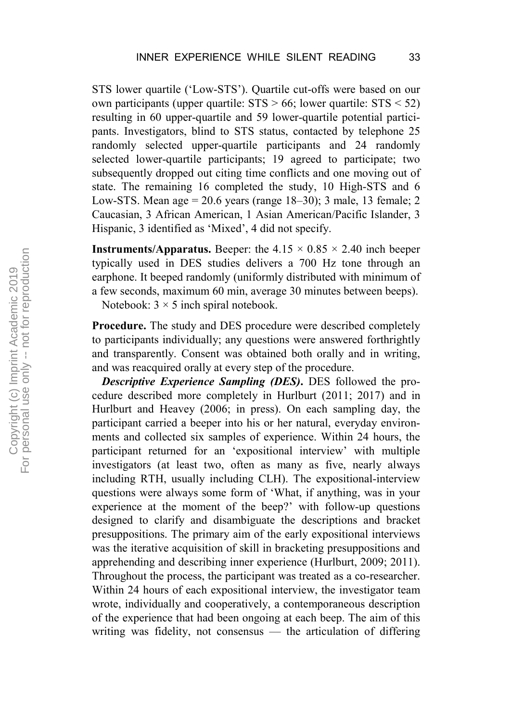STS lower quartile ('Low-STS'). Quartile cut-offs were based on our own participants (upper quartile:  $STS > 66$ ; lower quartile:  $STS < 52$ ) resulting in 60 upper-quartile and 59 lower-quartile potential participants. Investigators, blind to STS status, contacted by telephone 25 randomly selected upper-quartile participants and 24 randomly selected lower-quartile participants; 19 agreed to participate; two subsequently dropped out citing time conflicts and one moving out of state. The remaining 16 completed the study, 10 High-STS and 6 Low-STS. Mean age  $= 20.6$  years (range  $18-30$ ); 3 male, 13 female; 2 Caucasian, 3 African American, 1 Asian American/Pacific Islander, 3 Hispanic, 3 identified as 'Mixed', 4 did not specify.

**Instruments/Apparatus.** Beeper: the  $4.15 \times 0.85 \times 2.40$  inch beeper typically used in DES studies delivers a 700 Hz tone through an earphone. It beeped randomly (uniformly distributed with minimum of a few seconds, maximum 60 min, average 30 minutes between beeps).

Notebook:  $3 \times 5$  inch spiral notebook.

**Procedure.** The study and DES procedure were described completely to participants individually; any questions were answered forthrightly and transparently. Consent was obtained both orally and in writing, and was reacquired orally at every step of the procedure.

*Descriptive Experience Sampling (DES)***.** DES followed the procedure described more completely in Hurlburt (2011; 2017) and in Hurlburt and Heavey (2006; in press). On each sampling day, the participant carried a beeper into his or her natural, everyday environments and collected six samples of experience. Within 24 hours, the participant returned for an 'expositional interview' with multiple investigators (at least two, often as many as five, nearly always including RTH, usually including CLH). The expositional-interview questions were always some form of 'What, if anything, was in your experience at the moment of the beep?' with follow-up questions designed to clarify and disambiguate the descriptions and bracket presuppositions. The primary aim of the early expositional interviews was the iterative acquisition of skill in bracketing presuppositions and apprehending and describing inner experience (Hurlburt, 2009; 2011). Throughout the process, the participant was treated as a co-researcher. Within 24 hours of each expositional interview, the investigator team wrote, individually and cooperatively, a contemporaneous description of the experience that had been ongoing at each beep. The aim of this writing was fidelity, not consensus — the articulation of differing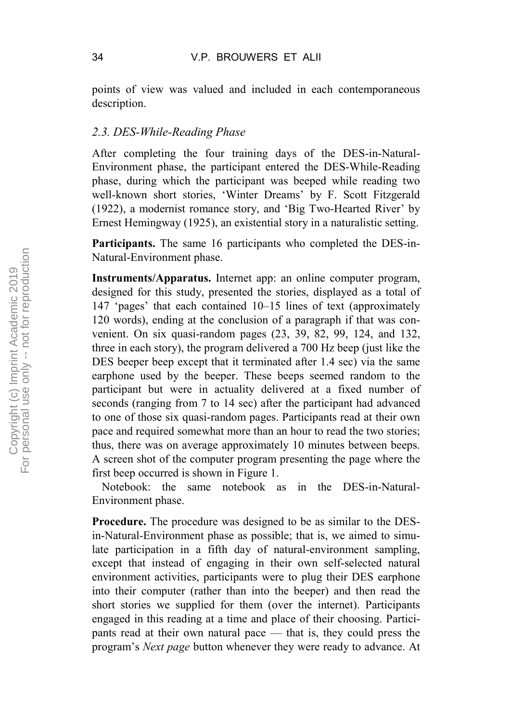points of view was valued and included in each contemporaneous description.

#### *2.3. DES-While-Reading Phase*

After completing the four training days of the DES-in-Natural-Environment phase, the participant entered the DES-While-Reading phase, during which the participant was beeped while reading two well-known short stories, 'Winter Dreams' by F. Scott Fitzgerald (1922), a modernist romance story, and 'Big Two-Hearted River' by Ernest Hemingway (1925), an existential story in a naturalistic setting.

**Participants.** The same 16 participants who completed the DES-in-Natural-Environment phase.

**Instruments/Apparatus.** Internet app: an online computer program, designed for this study, presented the stories, displayed as a total of 147 'pages' that each contained 10–15 lines of text (approximately 120 words), ending at the conclusion of a paragraph if that was convenient. On six quasi-random pages (23, 39, 82, 99, 124, and 132, three in each story), the program delivered a 700 Hz beep (just like the DES beeper beep except that it terminated after 1.4 sec) via the same earphone used by the beeper. These beeps seemed random to the participant but were in actuality delivered at a fixed number of seconds (ranging from 7 to 14 sec) after the participant had advanced to one of those six quasi-random pages. Participants read at their own pace and required somewhat more than an hour to read the two stories; thus, there was on average approximately 10 minutes between beeps. A screen shot of the computer program presenting the page where the first beep occurred is shown in Figure 1.

Notebook: the same notebook as in the DES-in-Natural-Environment phase.

**Procedure.** The procedure was designed to be as similar to the DESin-Natural-Environment phase as possible; that is, we aimed to simulate participation in a fifth day of natural-environment sampling, except that instead of engaging in their own self-selected natural environment activities, participants were to plug their DES earphone into their computer (rather than into the beeper) and then read the short stories we supplied for them (over the internet). Participants engaged in this reading at a time and place of their choosing. Participants read at their own natural pace — that is, they could press the program's *Next page* button whenever they were ready to advance. At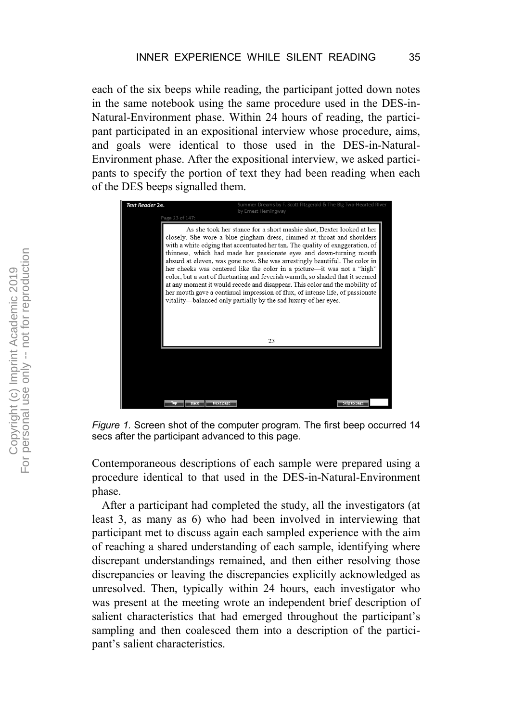each of the six beeps while reading, the participant jotted down notes in the same notebook using the same procedure used in the DES-in-Natural-Environment phase. Within 24 hours of reading, the participant participated in an expositional interview whose procedure, aims, and goals were identical to those used in the DES-in-Natural-Environment phase. After the expositional interview, we asked participants to specify the portion of text they had been reading when each of the DES beeps signalled them.



*Figure 1.* Screen shot of the computer program. The first beep occurred 14 secs after the participant advanced to this page.

Contemporaneous descriptions of each sample were prepared using a procedure identical to that used in the DES-in-Natural-Environment phase.

After a participant had completed the study, all the investigators (at least 3, as many as 6) who had been involved in interviewing that participant met to discuss again each sampled experience with the aim of reaching a shared understanding of each sample, identifying where discrepant understandings remained, and then either resolving those discrepancies or leaving the discrepancies explicitly acknowledged as unresolved. Then, typically within 24 hours, each investigator who was present at the meeting wrote an independent brief description of salient characteristics that had emerged throughout the participant's sampling and then coalesced them into a description of the participant's salient characteristics.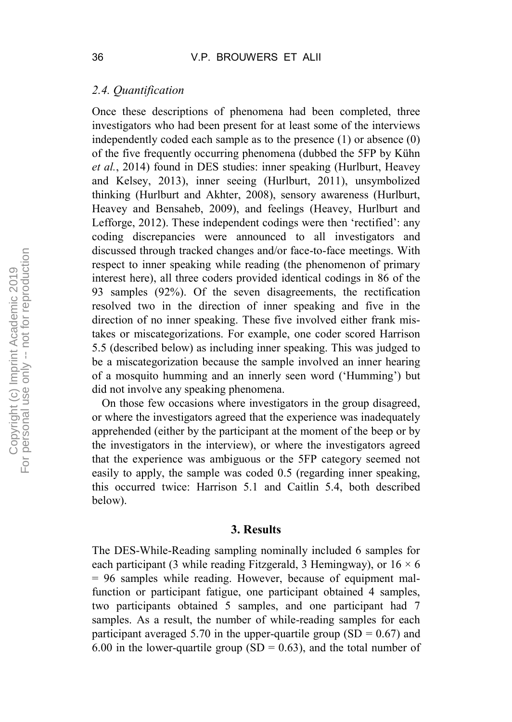#### *2.4. Quantification*

Once these descriptions of phenomena had been completed, three investigators who had been present for at least some of the interviews independently coded each sample as to the presence (1) or absence (0) of the five frequently occurring phenomena (dubbed the 5FP by Kühn *et al.*, 2014) found in DES studies: inner speaking (Hurlburt, Heavey and Kelsey, 2013), inner seeing (Hurlburt, 2011), unsymbolized thinking (Hurlburt and Akhter, 2008), sensory awareness (Hurlburt, Heavey and Bensaheb, 2009), and feelings (Heavey, Hurlburt and Lefforge, 2012). These independent codings were then 'rectified': any coding discrepancies were announced to all investigators and discussed through tracked changes and/or face-to-face meetings. With respect to inner speaking while reading (the phenomenon of primary interest here), all three coders provided identical codings in 86 of the 93 samples (92%). Of the seven disagreements, the rectification resolved two in the direction of inner speaking and five in the direction of no inner speaking. These five involved either frank mistakes or miscategorizations. For example, one coder scored Harrison 5.5 (described below) as including inner speaking. This was judged to be a miscategorization because the sample involved an inner hearing of a mosquito humming and an innerly seen word ('Humming') but did not involve any speaking phenomena.

On those few occasions where investigators in the group disagreed, or where the investigators agreed that the experience was inadequately apprehended (either by the participant at the moment of the beep or by the investigators in the interview), or where the investigators agreed that the experience was ambiguous or the 5FP category seemed not easily to apply, the sample was coded 0.5 (regarding inner speaking, this occurred twice: Harrison 5.1 and Caitlin 5.4, both described below).

#### **3. Results**

The DES-While-Reading sampling nominally included 6 samples for each participant (3 while reading Fitzgerald, 3 Hemingway), or  $16 \times 6$ = 96 samples while reading. However, because of equipment malfunction or participant fatigue, one participant obtained 4 samples, two participants obtained 5 samples, and one participant had 7 samples. As a result, the number of while-reading samples for each participant averaged 5.70 in the upper-quartile group (SD =  $0.67$ ) and 6.00 in the lower-quartile group (SD =  $0.63$ ), and the total number of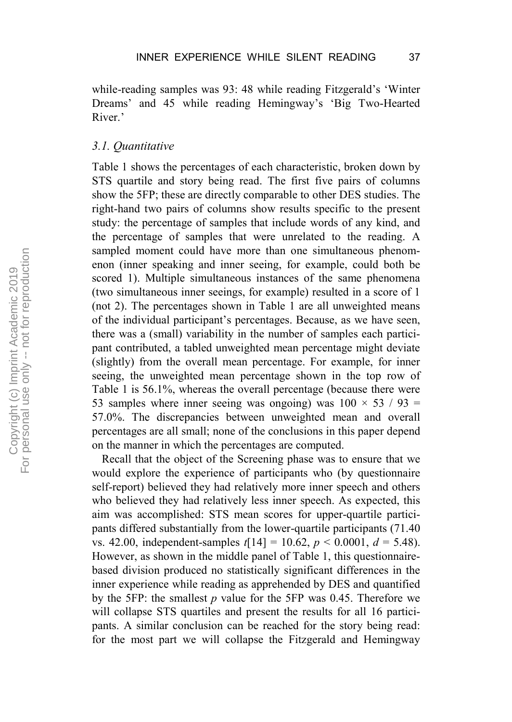while-reading samples was 93: 48 while reading Fitzgerald's 'Winter Dreams' and 45 while reading Hemingway's 'Big Two-Hearted River.'

#### *3.1. Quantitative*

Table 1 shows the percentages of each characteristic, broken down by STS quartile and story being read. The first five pairs of columns show the 5FP; these are directly comparable to other DES studies. The right-hand two pairs of columns show results specific to the present study: the percentage of samples that include words of any kind, and the percentage of samples that were unrelated to the reading. A sampled moment could have more than one simultaneous phenomenon (inner speaking and inner seeing, for example, could both be scored 1). Multiple simultaneous instances of the same phenomena (two simultaneous inner seeings, for example) resulted in a score of 1 (not 2). The percentages shown in Table 1 are all unweighted means of the individual participant's percentages. Because, as we have seen, there was a (small) variability in the number of samples each participant contributed, a tabled unweighted mean percentage might deviate (slightly) from the overall mean percentage. For example, for inner seeing, the unweighted mean percentage shown in the top row of Table 1 is 56.1%, whereas the overall percentage (because there were 53 samples where inner seeing was ongoing) was  $100 \times 53 / 93$  = 57.0%. The discrepancies between unweighted mean and overall percentages are all small; none of the conclusions in this paper depend on the manner in which the percentages are computed.

Recall that the object of the Screening phase was to ensure that we would explore the experience of participants who (by questionnaire self-report) believed they had relatively more inner speech and others who believed they had relatively less inner speech. As expected, this aim was accomplished: STS mean scores for upper-quartile participants differed substantially from the lower-quartile participants (71.40 vs. 42.00, independent-samples  $t[14] = 10.62$ ,  $p < 0.0001$ ,  $d = 5.48$ ). However, as shown in the middle panel of Table 1, this questionnairebased division produced no statistically significant differences in the inner experience while reading as apprehended by DES and quantified by the 5FP: the smallest *p* value for the 5FP was 0.45. Therefore we will collapse STS quartiles and present the results for all 16 participants. A similar conclusion can be reached for the story being read: for the most part we will collapse the Fitzgerald and Hemingway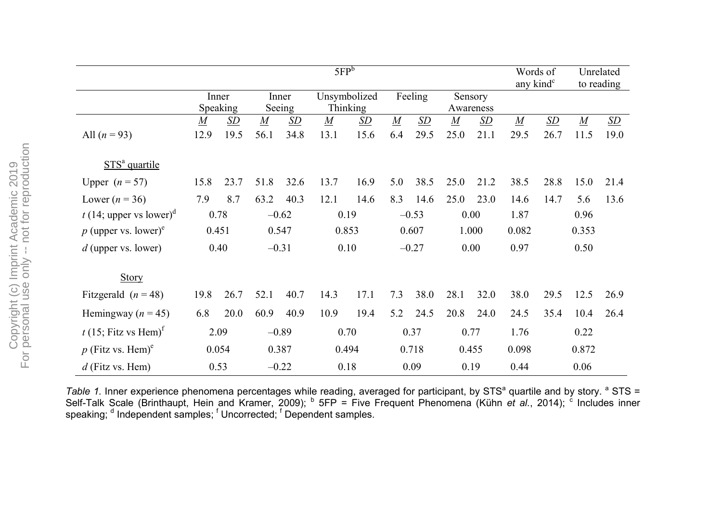|                                                 | 5FP <sup>b</sup>       |                   |                          |                   |                          |                   |                         |                   |                          | Words of<br>any kind <sup>c</sup> |                          | Unrelated<br>to reading |                          |                   |
|-------------------------------------------------|------------------------|-------------------|--------------------------|-------------------|--------------------------|-------------------|-------------------------|-------------------|--------------------------|-----------------------------------|--------------------------|-------------------------|--------------------------|-------------------|
|                                                 | Inner<br>Speaking      |                   | Inner<br>Seeing          |                   | Unsymbolized<br>Thinking |                   | Feeling                 |                   | Sensory<br>Awareness     |                                   |                          |                         |                          |                   |
| All $(n = 93)$                                  | $\overline{M}$<br>12.9 | <u>SD</u><br>19.5 | $\boldsymbol{M}$<br>56.1 | <u>SD</u><br>34.8 | $\boldsymbol{M}$<br>13.1 | <u>SD</u><br>15.6 | $\boldsymbol{M}$<br>6.4 | <u>SD</u><br>29.5 | $\boldsymbol{M}$<br>25.0 | <u>SD</u><br>21.1                 | $\boldsymbol{M}$<br>29.5 | <u>SD</u><br>26.7       | $\boldsymbol{M}$<br>11.5 | <u>SD</u><br>19.0 |
| STS <sup>ª</sup> quartile                       |                        |                   |                          |                   |                          |                   |                         |                   |                          |                                   |                          |                         |                          |                   |
| Upper $(n = 57)$                                | 15.8                   | 23.7              | 51.8                     | 32.6              | 13.7                     | 16.9              | 5.0                     | 38.5              | 25.0                     | 21.2                              | 38.5                     | 28.8                    | 15.0                     | 21.4              |
| Lower $(n = 36)$                                | 7.9                    | 8.7               | 63.2                     | 40.3              | 12.1                     | 14.6              | 8.3                     | 14.6              | 25.0                     | 23.0                              | 14.6                     | 14.7                    | 5.6                      | 13.6              |
| t (14; upper vs lower) <sup>a</sup>             | 0.78                   |                   | $-0.62$                  |                   | 0.19                     |                   | $-0.53$                 |                   | 0.00                     |                                   | 1.87                     |                         | 0.96                     |                   |
| $p$ (upper vs. lower) <sup>e</sup>              | 0.451                  |                   | 0.547                    |                   | 0.853                    |                   | 0.607                   |                   | 1.000                    |                                   | 0.082                    |                         | 0.353                    |                   |
| $d$ (upper vs. lower)                           | 0.40                   |                   | $-0.31$                  |                   | 0.10                     |                   | $-0.27$                 |                   | 0.00                     |                                   | 0.97                     |                         | 0.50                     |                   |
| Story                                           |                        |                   |                          |                   |                          |                   |                         |                   |                          |                                   |                          |                         |                          |                   |
| Fitzgerald $(n = 48)$                           | 19.8                   | 26.7              | 52.1                     | 40.7              | 14.3                     | 17.1              | 7.3                     | 38.0              | 28.1                     | 32.0                              | 38.0                     | 29.5                    | 12.5                     | 26.9              |
| Hemingway ( $n = 45$ )                          | 6.8                    | 20.0              | 60.9                     | 40.9              | 10.9                     | 19.4              | 5.2                     | 24.5              | 20.8                     | 24.0                              | 24.5                     | 35.4                    | 10.4                     | 26.4              |
| $t$ (15; Fitz vs Hem) <sup><math>t</math></sup> | 2.09                   |                   | $-0.89$                  |                   | 0.70                     |                   | 0.37                    |                   | 0.77                     |                                   | 1.76                     |                         | 0.22                     |                   |
| $p$ (Fitz vs. Hem) <sup>e</sup>                 | 0.054                  |                   | 0.387                    |                   | 0.494                    |                   | 0.718                   |                   | 0.455                    |                                   | 0.098                    |                         | 0.872                    |                   |
| $d$ (Fitz vs. Hem)                              | 0.53                   |                   | $-0.22$                  |                   | 0.18                     |                   | 0.09                    |                   | 0.19                     |                                   | 0.44                     |                         | 0.06                     |                   |

*Table 1.* Inner experience phenomena percentages while reading, averaged for participant, by STS<sup>a</sup> quartile and by story. <sup>a</sup> STS = Self-Talk Scale (Brinthaupt, Hein and Kramer, 2009); <sup>b</sup> 5FP = Five Frequent Phenomena (Kühn *et al.*, 2014); <sup>c</sup> Includes inner speaking; <sup>d</sup> Independent samples; <sup>f</sup> Uncorrected; <sup>f</sup> Dependent samples.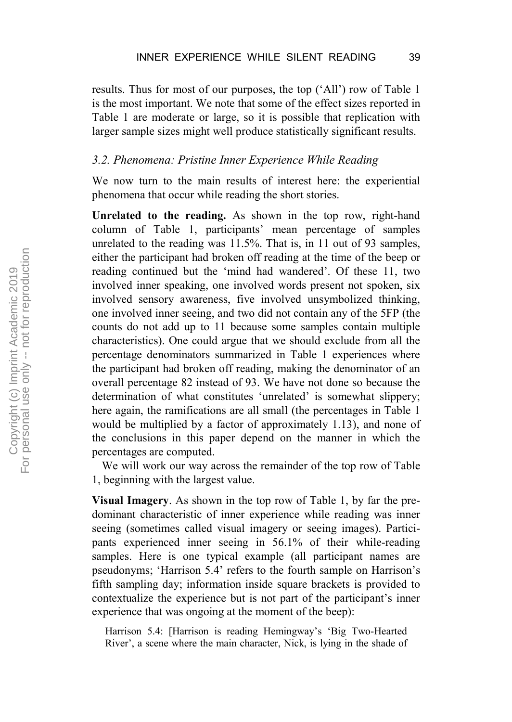results. Thus for most of our purposes, the top ('All') row of Table 1 is the most important. We note that some of the effect sizes reported in Table 1 are moderate or large, so it is possible that replication with larger sample sizes might well produce statistically significant results.

#### *3.2. Phenomena: Pristine Inner Experience While Reading*

We now turn to the main results of interest here: the experiential phenomena that occur while reading the short stories.

**Unrelated to the reading.** As shown in the top row, right-hand column of Table 1, participants' mean percentage of samples unrelated to the reading was 11.5%. That is, in 11 out of 93 samples, either the participant had broken off reading at the time of the beep or reading continued but the 'mind had wandered'. Of these 11, two involved inner speaking, one involved words present not spoken, six involved sensory awareness, five involved unsymbolized thinking, one involved inner seeing, and two did not contain any of the 5FP (the counts do not add up to 11 because some samples contain multiple characteristics). One could argue that we should exclude from all the percentage denominators summarized in Table 1 experiences where the participant had broken off reading, making the denominator of an overall percentage 82 instead of 93. We have not done so because the determination of what constitutes 'unrelated' is somewhat slippery; here again, the ramifications are all small (the percentages in Table 1 would be multiplied by a factor of approximately 1.13), and none of the conclusions in this paper depend on the manner in which the percentages are computed.

We will work our way across the remainder of the top row of Table 1, beginning with the largest value.

**Visual Imagery**. As shown in the top row of Table 1, by far the predominant characteristic of inner experience while reading was inner seeing (sometimes called visual imagery or seeing images). Participants experienced inner seeing in 56.1% of their while-reading samples. Here is one typical example (all participant names are pseudonyms; 'Harrison 5.4' refers to the fourth sample on Harrison's fifth sampling day; information inside square brackets is provided to contextualize the experience but is not part of the participant's inner experience that was ongoing at the moment of the beep):

Harrison 5.4: [Harrison is reading Hemingway's 'Big Two-Hearted River', a scene where the main character, Nick, is lying in the shade of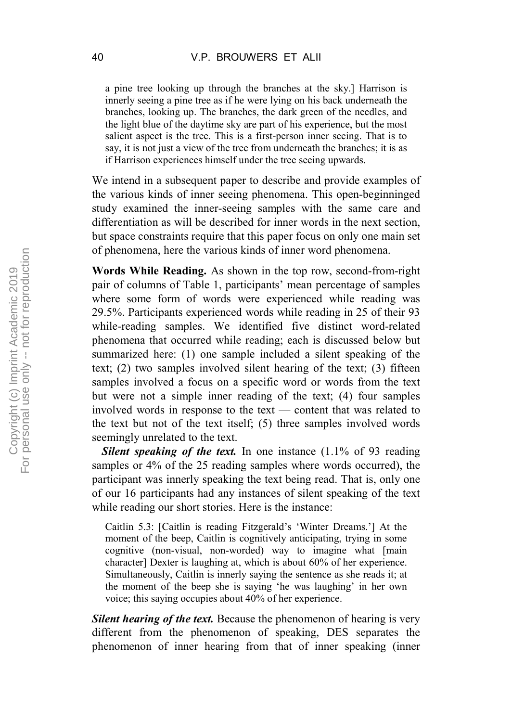a pine tree looking up through the branches at the sky.] Harrison is innerly seeing a pine tree as if he were lying on his back underneath the branches, looking up. The branches, the dark green of the needles, and the light blue of the daytime sky are part of his experience, but the most salient aspect is the tree. This is a first-person inner seeing. That is to say, it is not just a view of the tree from underneath the branches; it is as if Harrison experiences himself under the tree seeing upwards.

We intend in a subsequent paper to describe and provide examples of the various kinds of inner seeing phenomena. This open-beginninged study examined the inner-seeing samples with the same care and differentiation as will be described for inner words in the next section, but space constraints require that this paper focus on only one main set of phenomena, here the various kinds of inner word phenomena.

**Words While Reading.** As shown in the top row, second-from-right pair of columns of Table 1, participants' mean percentage of samples where some form of words were experienced while reading was 29.5%. Participants experienced words while reading in 25 of their 93 while-reading samples. We identified five distinct word-related phenomena that occurred while reading; each is discussed below but summarized here: (1) one sample included a silent speaking of the text; (2) two samples involved silent hearing of the text; (3) fifteen samples involved a focus on a specific word or words from the text but were not a simple inner reading of the text; (4) four samples involved words in response to the text — content that was related to the text but not of the text itself; (5) three samples involved words seemingly unrelated to the text.

**Silent speaking of the text.** In one instance (1.1% of 93 reading samples or 4% of the 25 reading samples where words occurred), the participant was innerly speaking the text being read. That is, only one of our 16 participants had any instances of silent speaking of the text while reading our short stories. Here is the instance:

Caitlin 5.3: [Caitlin is reading Fitzgerald's 'Winter Dreams.'] At the moment of the beep, Caitlin is cognitively anticipating, trying in some cognitive (non-visual, non-worded) way to imagine what [main character] Dexter is laughing at, which is about 60% of her experience. Simultaneously, Caitlin is innerly saying the sentence as she reads it; at the moment of the beep she is saying 'he was laughing' in her own voice; this saying occupies about 40% of her experience.

*Silent hearing of the text.* Because the phenomenon of hearing is very different from the phenomenon of speaking, DES separates the phenomenon of inner hearing from that of inner speaking (inner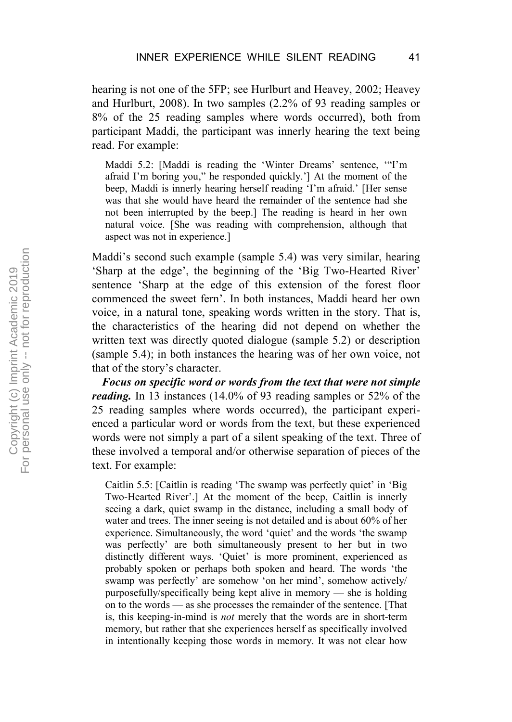hearing is not one of the 5FP; see Hurlburt and Heavey, 2002; Heavey and Hurlburt, 2008). In two samples (2.2% of 93 reading samples or 8% of the 25 reading samples where words occurred), both from participant Maddi, the participant was innerly hearing the text being read. For example:

Maddi 5.2: [Maddi is reading the 'Winter Dreams' sentence, '"I'm afraid I'm boring you," he responded quickly.'] At the moment of the beep, Maddi is innerly hearing herself reading 'I'm afraid.' [Her sense was that she would have heard the remainder of the sentence had she not been interrupted by the beep.] The reading is heard in her own natural voice. [She was reading with comprehension, although that aspect was not in experience.]

Maddi's second such example (sample 5.4) was very similar, hearing 'Sharp at the edge', the beginning of the 'Big Two-Hearted River' sentence 'Sharp at the edge of this extension of the forest floor commenced the sweet fern'. In both instances, Maddi heard her own voice, in a natural tone, speaking words written in the story. That is, the characteristics of the hearing did not depend on whether the written text was directly quoted dialogue (sample 5.2) or description (sample 5.4); in both instances the hearing was of her own voice, not that of the story's character.

*Focus on specific word or words from the text that were not simple reading.* In 13 instances (14.0% of 93 reading samples or 52% of the 25 reading samples where words occurred), the participant experienced a particular word or words from the text, but these experienced words were not simply a part of a silent speaking of the text. Three of these involved a temporal and/or otherwise separation of pieces of the text. For example:

Caitlin 5.5: [Caitlin is reading 'The swamp was perfectly quiet' in 'Big Two-Hearted River'.] At the moment of the beep, Caitlin is innerly seeing a dark, quiet swamp in the distance, including a small body of water and trees. The inner seeing is not detailed and is about 60% of her experience. Simultaneously, the word 'quiet' and the words 'the swamp was perfectly' are both simultaneously present to her but in two distinctly different ways. 'Quiet' is more prominent, experienced as probably spoken or perhaps both spoken and heard. The words 'the swamp was perfectly' are somehow 'on her mind', somehow actively/ purposefully/specifically being kept alive in memory — she is holding on to the words — as she processes the remainder of the sentence. [That is, this keeping-in-mind is *not* merely that the words are in short-term memory, but rather that she experiences herself as specifically involved in intentionally keeping those words in memory. It was not clear how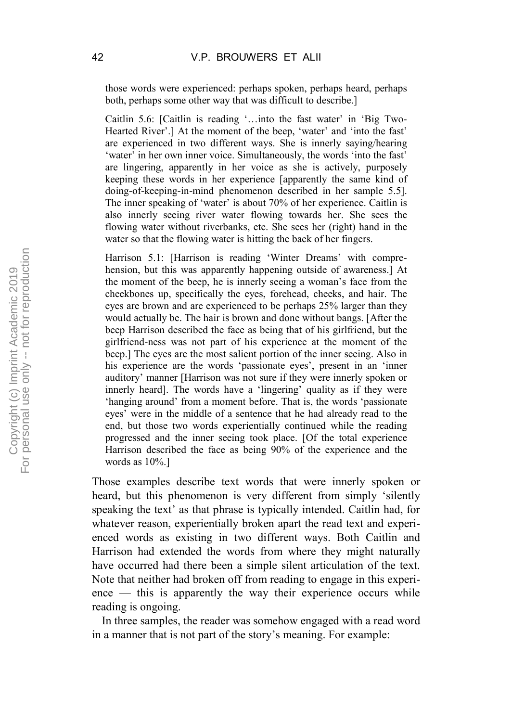those words were experienced: perhaps spoken, perhaps heard, perhaps both, perhaps some other way that was difficult to describe.]

Caitlin 5.6: [Caitlin is reading '…into the fast water' in 'Big Two-Hearted River'.] At the moment of the beep, 'water' and 'into the fast' are experienced in two different ways. She is innerly saying/hearing 'water' in her own inner voice. Simultaneously, the words 'into the fast' are lingering, apparently in her voice as she is actively, purposely keeping these words in her experience [apparently the same kind of doing-of-keeping-in-mind phenomenon described in her sample 5.5]. The inner speaking of 'water' is about 70% of her experience. Caitlin is also innerly seeing river water flowing towards her. She sees the flowing water without riverbanks, etc. She sees her (right) hand in the water so that the flowing water is hitting the back of her fingers.

Harrison 5.1: [Harrison is reading 'Winter Dreams' with comprehension, but this was apparently happening outside of awareness.] At the moment of the beep, he is innerly seeing a woman's face from the cheekbones up, specifically the eyes, forehead, cheeks, and hair. The eyes are brown and are experienced to be perhaps 25% larger than they would actually be. The hair is brown and done without bangs. [After the beep Harrison described the face as being that of his girlfriend, but the girlfriend-ness was not part of his experience at the moment of the beep.] The eyes are the most salient portion of the inner seeing. Also in his experience are the words 'passionate eyes', present in an 'inner auditory' manner [Harrison was not sure if they were innerly spoken or innerly heard]. The words have a 'lingering' quality as if they were 'hanging around' from a moment before. That is, the words 'passionate eyes' were in the middle of a sentence that he had already read to the end, but those two words experientially continued while the reading progressed and the inner seeing took place. [Of the total experience Harrison described the face as being 90% of the experience and the words as 10%.]

Those examples describe text words that were innerly spoken or heard, but this phenomenon is very different from simply 'silently speaking the text' as that phrase is typically intended. Caitlin had, for whatever reason, experientially broken apart the read text and experienced words as existing in two different ways. Both Caitlin and Harrison had extended the words from where they might naturally have occurred had there been a simple silent articulation of the text. Note that neither had broken off from reading to engage in this experience — this is apparently the way their experience occurs while reading is ongoing.

In three samples, the reader was somehow engaged with a read word in a manner that is not part of the story's meaning. For example: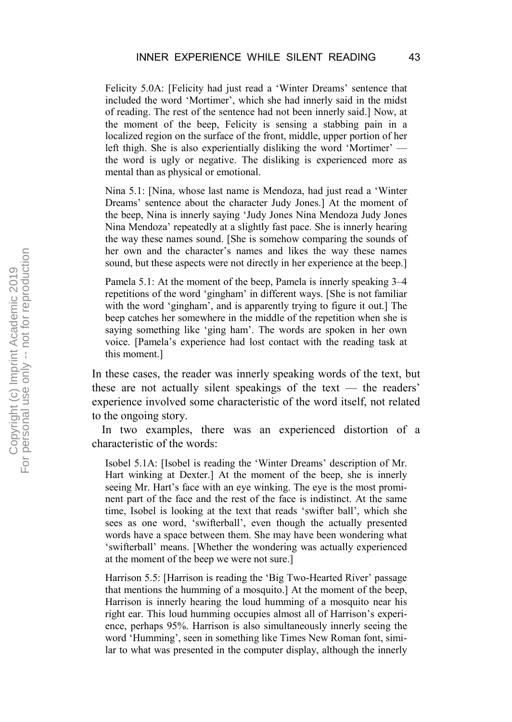Felicity 5.0A: [Felicity had just read a 'Winter Dreams' sentence that included the word 'Mortimer', which she had innerly said in the midst of reading. The rest of the sentence had not been innerly said.] Now, at the moment of the beep, Felicity is sensing a stabbing pain in a localized region on the surface of the front, middle, upper portion of her left thigh. She is also experientially disliking the word 'Mortimer' the word is ugly or negative. The disliking is experienced more as mental than as physical or emotional.

Nina 5.1: [Nina, whose last name is Mendoza, had just read a 'Winter Dreams' sentence about the character Judy Jones.] At the moment of the beep, Nina is innerly saying 'Judy Jones Nina Mendoza Judy Jones Nina Mendoza' repeatedly at a slightly fast pace. She is innerly hearing the way these names sound. [She is somehow comparing the sounds of her own and the character's names and likes the way these names sound, but these aspects were not directly in her experience at the beep.]

Pamela 5.1: At the moment of the beep, Pamela is innerly speaking 3–4 repetitions of the word 'gingham' in different ways. [She is not familiar with the word 'gingham', and is apparently trying to figure it out.] The beep catches her somewhere in the middle of the repetition when she is saying something like 'ging ham'. The words are spoken in her own voice. [Pamela's experience had lost contact with the reading task at this moment.]

In these cases, the reader was innerly speaking words of the text, but these are not actually silent speakings of the text — the readers' experience involved some characteristic of the word itself, not related to the ongoing story.

In two examples, there was an experienced distortion of a characteristic of the words:

Isobel 5.1A: [Isobel is reading the 'Winter Dreams' description of Mr. Hart winking at Dexter.] At the moment of the beep, she is innerly seeing Mr. Hart's face with an eye winking. The eye is the most prominent part of the face and the rest of the face is indistinct. At the same time, Isobel is looking at the text that reads 'swifter ball', which she sees as one word, 'swifterball', even though the actually presented words have a space between them. She may have been wondering what 'swifterball' means. [Whether the wondering was actually experienced at the moment of the beep we were not sure.]

Harrison 5.5: [Harrison is reading the 'Big Two-Hearted River' passage that mentions the humming of a mosquito.] At the moment of the beep, Harrison is innerly hearing the loud humming of a mosquito near his right ear. This loud humming occupies almost all of Harrison's experience, perhaps 95%. Harrison is also simultaneously innerly seeing the word 'Humming', seen in something like Times New Roman font, similar to what was presented in the computer display, although the innerly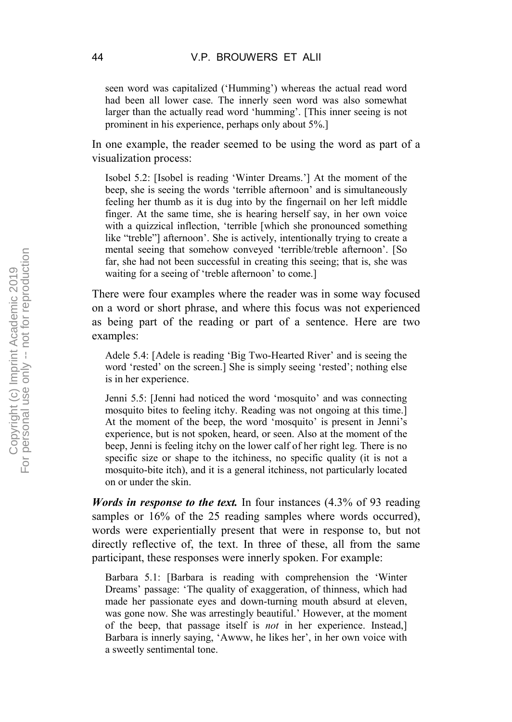seen word was capitalized ('Humming') whereas the actual read word had been all lower case. The innerly seen word was also somewhat larger than the actually read word 'humming'. [This inner seeing is not prominent in his experience, perhaps only about 5%.]

In one example, the reader seemed to be using the word as part of a visualization process:

Isobel 5.2: [Isobel is reading 'Winter Dreams.'] At the moment of the beep, she is seeing the words 'terrible afternoon' and is simultaneously feeling her thumb as it is dug into by the fingernail on her left middle finger. At the same time, she is hearing herself say, in her own voice with a quizzical inflection, 'terrible [which she pronounced something like "treble"] afternoon'. She is actively, intentionally trying to create a mental seeing that somehow conveyed 'terrible/treble afternoon'. [So far, she had not been successful in creating this seeing; that is, she was waiting for a seeing of 'treble afternoon' to come.]

There were four examples where the reader was in some way focused on a word or short phrase, and where this focus was not experienced as being part of the reading or part of a sentence. Here are two examples:

Adele 5.4: [Adele is reading 'Big Two-Hearted River' and is seeing the word 'rested' on the screen.] She is simply seeing 'rested'; nothing else is in her experience.

Jenni 5.5: [Jenni had noticed the word 'mosquito' and was connecting mosquito bites to feeling itchy. Reading was not ongoing at this time.] At the moment of the beep, the word 'mosquito' is present in Jenni's experience, but is not spoken, heard, or seen. Also at the moment of the beep, Jenni is feeling itchy on the lower calf of her right leg. There is no specific size or shape to the itchiness, no specific quality (it is not a mosquito-bite itch), and it is a general itchiness, not particularly located on or under the skin.

*Words in response to the text.* In four instances (4.3% of 93 reading samples or 16% of the 25 reading samples where words occurred), words were experientially present that were in response to, but not directly reflective of, the text. In three of these, all from the same participant, these responses were innerly spoken. For example:

Barbara 5.1: [Barbara is reading with comprehension the 'Winter Dreams' passage: 'The quality of exaggeration, of thinness, which had made her passionate eyes and down-turning mouth absurd at eleven, was gone now. She was arrestingly beautiful.' However, at the moment of the beep, that passage itself is *not* in her experience. Instead,] Barbara is innerly saying, 'Awww, he likes her', in her own voice with a sweetly sentimental tone.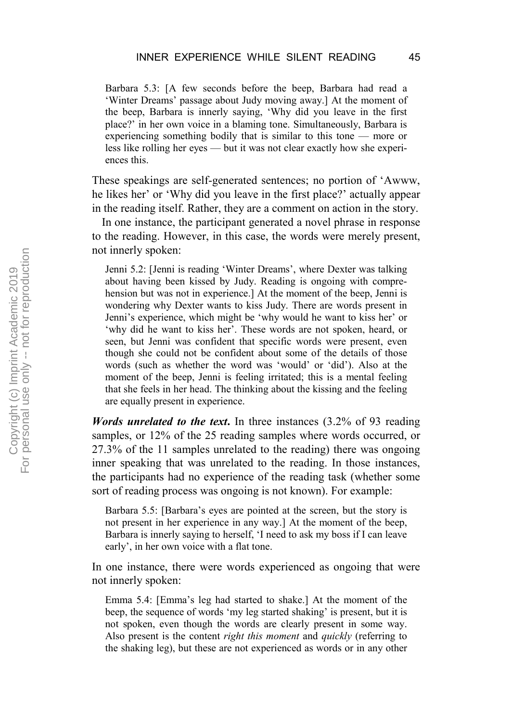Barbara 5.3: [A few seconds before the beep, Barbara had read a 'Winter Dreams' passage about Judy moving away.] At the moment of the beep, Barbara is innerly saying, 'Why did you leave in the first place?' in her own voice in a blaming tone. Simultaneously, Barbara is experiencing something bodily that is similar to this tone — more or less like rolling her eyes — but it was not clear exactly how she experiences this.

These speakings are self-generated sentences; no portion of 'Awww, he likes her' or 'Why did you leave in the first place?' actually appear in the reading itself. Rather, they are a comment on action in the story.

In one instance, the participant generated a novel phrase in response to the reading. However, in this case, the words were merely present, not innerly spoken:

Jenni 5.2: [Jenni is reading 'Winter Dreams', where Dexter was talking about having been kissed by Judy. Reading is ongoing with comprehension but was not in experience.] At the moment of the beep, Jenni is wondering why Dexter wants to kiss Judy. There are words present in Jenni's experience, which might be 'why would he want to kiss her' or 'why did he want to kiss her'. These words are not spoken, heard, or seen, but Jenni was confident that specific words were present, even though she could not be confident about some of the details of those words (such as whether the word was 'would' or 'did'). Also at the moment of the beep, Jenni is feeling irritated; this is a mental feeling that she feels in her head. The thinking about the kissing and the feeling are equally present in experience.

*Words unrelated to the text***.** In three instances (3.2% of 93 reading samples, or 12% of the 25 reading samples where words occurred, or 27.3% of the 11 samples unrelated to the reading) there was ongoing inner speaking that was unrelated to the reading. In those instances, the participants had no experience of the reading task (whether some sort of reading process was ongoing is not known). For example:

Barbara 5.5: [Barbara's eyes are pointed at the screen, but the story is not present in her experience in any way.] At the moment of the beep, Barbara is innerly saying to herself, 'I need to ask my boss if I can leave early', in her own voice with a flat tone.

In one instance, there were words experienced as ongoing that were not innerly spoken:

Emma 5.4: [Emma's leg had started to shake.] At the moment of the beep, the sequence of words 'my leg started shaking' is present, but it is not spoken, even though the words are clearly present in some way. Also present is the content *right this moment* and *quickly* (referring to the shaking leg), but these are not experienced as words or in any other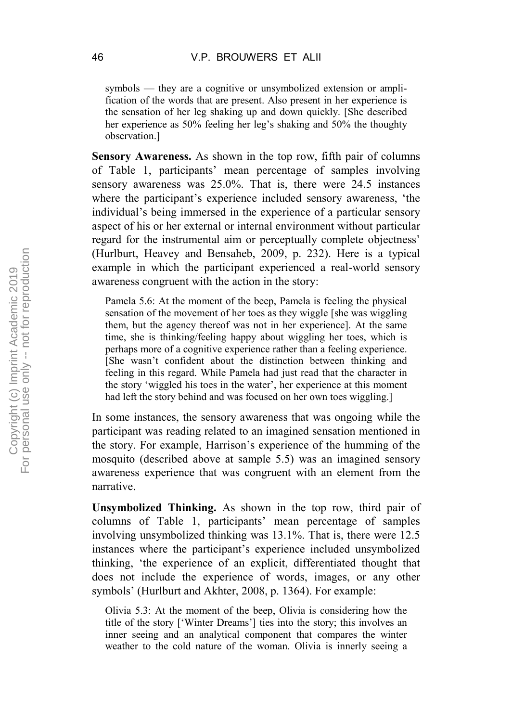symbols — they are a cognitive or unsymbolized extension or amplification of the words that are present. Also present in her experience is the sensation of her leg shaking up and down quickly. [She described her experience as 50% feeling her leg's shaking and 50% the thoughty observation.]

**Sensory Awareness.** As shown in the top row, fifth pair of columns of Table 1, participants' mean percentage of samples involving sensory awareness was 25.0%. That is, there were 24.5 instances where the participant's experience included sensory awareness, 'the individual's being immersed in the experience of a particular sensory aspect of his or her external or internal environment without particular regard for the instrumental aim or perceptually complete objectness' (Hurlburt, Heavey and Bensaheb, 2009, p. 232). Here is a typical example in which the participant experienced a real-world sensory awareness congruent with the action in the story:

Pamela 5.6: At the moment of the beep, Pamela is feeling the physical sensation of the movement of her toes as they wiggle [she was wiggling them, but the agency thereof was not in her experience]. At the same time, she is thinking/feeling happy about wiggling her toes, which is perhaps more of a cognitive experience rather than a feeling experience. [She wasn't confident about the distinction between thinking and feeling in this regard. While Pamela had just read that the character in the story 'wiggled his toes in the water', her experience at this moment had left the story behind and was focused on her own toes wiggling.]

In some instances, the sensory awareness that was ongoing while the participant was reading related to an imagined sensation mentioned in the story. For example, Harrison's experience of the humming of the mosquito (described above at sample 5.5) was an imagined sensory awareness experience that was congruent with an element from the narrative.

**Unsymbolized Thinking.** As shown in the top row, third pair of columns of Table 1, participants' mean percentage of samples involving unsymbolized thinking was 13.1%. That is, there were 12.5 instances where the participant's experience included unsymbolized thinking, 'the experience of an explicit, differentiated thought that does not include the experience of words, images, or any other symbols' (Hurlburt and Akhter, 2008, p. 1364). For example:

Olivia 5.3: At the moment of the beep, Olivia is considering how the title of the story ['Winter Dreams'] ties into the story; this involves an inner seeing and an analytical component that compares the winter weather to the cold nature of the woman. Olivia is innerly seeing a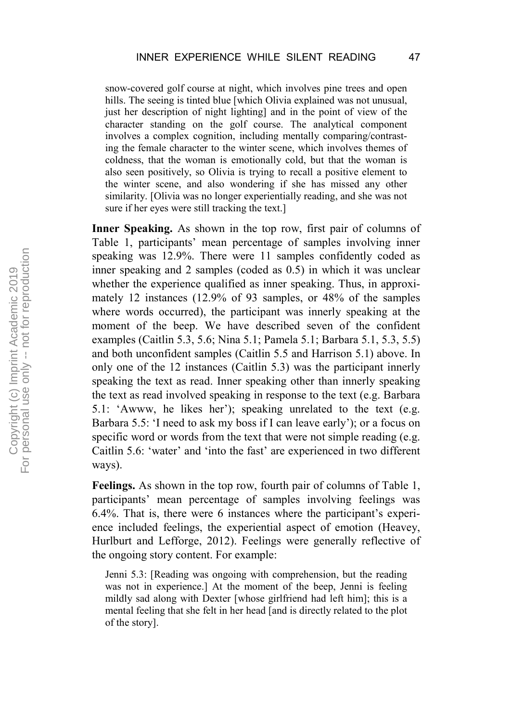snow-covered golf course at night, which involves pine trees and open hills. The seeing is tinted blue [which Olivia explained was not unusual, just her description of night lighting] and in the point of view of the character standing on the golf course. The analytical component involves a complex cognition, including mentally comparing/contrasting the female character to the winter scene, which involves themes of coldness, that the woman is emotionally cold, but that the woman is also seen positively, so Olivia is trying to recall a positive element to the winter scene, and also wondering if she has missed any other similarity. [Olivia was no longer experientially reading, and she was not sure if her eyes were still tracking the text.]

**Inner Speaking.** As shown in the top row, first pair of columns of Table 1, participants' mean percentage of samples involving inner speaking was 12.9%. There were 11 samples confidently coded as inner speaking and 2 samples (coded as 0.5) in which it was unclear whether the experience qualified as inner speaking. Thus, in approximately 12 instances (12.9% of 93 samples, or 48% of the samples where words occurred), the participant was innerly speaking at the moment of the beep. We have described seven of the confident examples (Caitlin 5.3, 5.6; Nina 5.1; Pamela 5.1; Barbara 5.1, 5.3, 5.5) and both unconfident samples (Caitlin 5.5 and Harrison 5.1) above. In only one of the 12 instances (Caitlin 5.3) was the participant innerly speaking the text as read. Inner speaking other than innerly speaking the text as read involved speaking in response to the text (e.g. Barbara 5.1: 'Awww, he likes her'); speaking unrelated to the text (e.g. Barbara 5.5: 'I need to ask my boss if I can leave early'); or a focus on specific word or words from the text that were not simple reading (e.g. Caitlin 5.6: 'water' and 'into the fast' are experienced in two different ways).

**Feelings.** As shown in the top row, fourth pair of columns of Table 1, participants' mean percentage of samples involving feelings was 6.4%. That is, there were 6 instances where the participant's experience included feelings, the experiential aspect of emotion (Heavey, Hurlburt and Lefforge, 2012). Feelings were generally reflective of the ongoing story content. For example:

Jenni 5.3: [Reading was ongoing with comprehension, but the reading was not in experience.] At the moment of the beep, Jenni is feeling mildly sad along with Dexter [whose girlfriend had left him]; this is a mental feeling that she felt in her head [and is directly related to the plot of the story].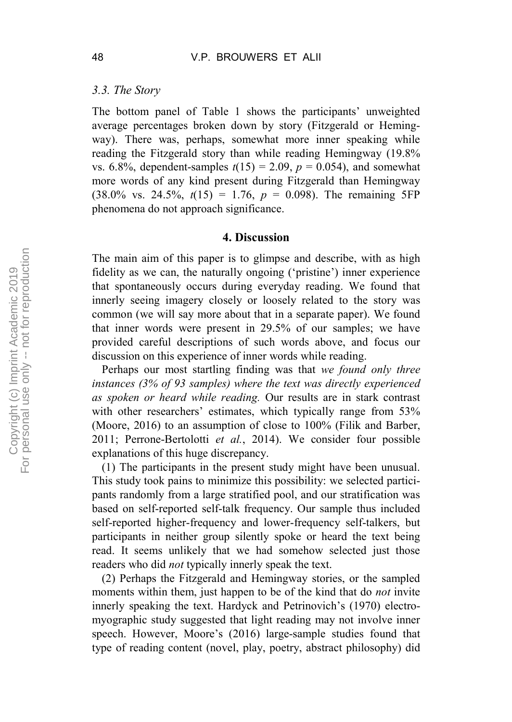#### *3.3. The Story*

The bottom panel of Table 1 shows the participants' unweighted average percentages broken down by story (Fitzgerald or Hemingway). There was, perhaps, somewhat more inner speaking while reading the Fitzgerald story than while reading Hemingway (19.8% vs. 6.8%, dependent-samples  $t(15) = 2.09$ ,  $p = 0.054$ ), and somewhat more words of any kind present during Fitzgerald than Hemingway  $(38.0\% \text{ vs. } 24.5\%, t(15) = 1.76, p = 0.098)$ . The remaining 5FP phenomena do not approach significance.

#### **4. Discussion**

The main aim of this paper is to glimpse and describe, with as high fidelity as we can, the naturally ongoing ('pristine') inner experience that spontaneously occurs during everyday reading. We found that innerly seeing imagery closely or loosely related to the story was common (we will say more about that in a separate paper). We found that inner words were present in 29.5% of our samples; we have provided careful descriptions of such words above, and focus our discussion on this experience of inner words while reading.

Perhaps our most startling finding was that *we found only three instances (3% of 93 samples) where the text was directly experienced as spoken or heard while reading.* Our results are in stark contrast with other researchers' estimates, which typically range from 53% (Moore, 2016) to an assumption of close to 100% (Filik and Barber, 2011; Perrone-Bertolotti *et al.*, 2014). We consider four possible explanations of this huge discrepancy.

(1) The participants in the present study might have been unusual. This study took pains to minimize this possibility: we selected participants randomly from a large stratified pool, and our stratification was based on self-reported self-talk frequency. Our sample thus included self-reported higher-frequency and lower-frequency self-talkers, but participants in neither group silently spoke or heard the text being read. It seems unlikely that we had somehow selected just those readers who did *not* typically innerly speak the text.

(2) Perhaps the Fitzgerald and Hemingway stories, or the sampled moments within them, just happen to be of the kind that do *not* invite innerly speaking the text. Hardyck and Petrinovich's (1970) electromyographic study suggested that light reading may not involve inner speech. However, Moore's (2016) large-sample studies found that type of reading content (novel, play, poetry, abstract philosophy) did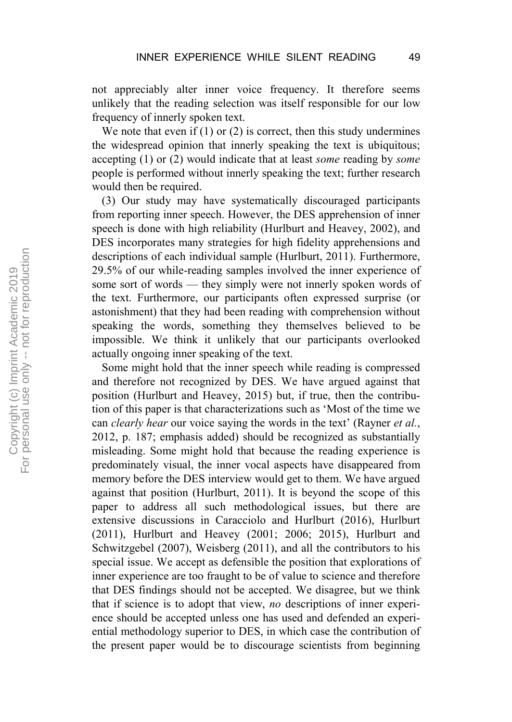not appreciably alter inner voice frequency. It therefore seems unlikely that the reading selection was itself responsible for our low frequency of innerly spoken text.

We note that even if  $(1)$  or  $(2)$  is correct, then this study undermines the widespread opinion that innerly speaking the text is ubiquitous; accepting (1) or (2) would indicate that at least *some* reading by *some* people is performed without innerly speaking the text; further research would then be required.

(3) Our study may have systematically discouraged participants from reporting inner speech. However, the DES apprehension of inner speech is done with high reliability (Hurlburt and Heavey, 2002), and DES incorporates many strategies for high fidelity apprehensions and descriptions of each individual sample (Hurlburt, 2011). Furthermore, 29.5% of our while-reading samples involved the inner experience of some sort of words — they simply were not innerly spoken words of the text. Furthermore, our participants often expressed surprise (or astonishment) that they had been reading with comprehension without speaking the words, something they themselves believed to be impossible. We think it unlikely that our participants overlooked actually ongoing inner speaking of the text.

Some might hold that the inner speech while reading is compressed and therefore not recognized by DES. We have argued against that position (Hurlburt and Heavey, 2015) but, if true, then the contribution of this paper is that characterizations such as 'Most of the time we can *clearly hear* our voice saying the words in the text' (Rayner *et al.*, 2012, p. 187; emphasis added) should be recognized as substantially misleading. Some might hold that because the reading experience is predominately visual, the inner vocal aspects have disappeared from memory before the DES interview would get to them. We have argued against that position (Hurlburt, 2011). It is beyond the scope of this paper to address all such methodological issues, but there are extensive discussions in Caracciolo and Hurlburt (2016), Hurlburt (2011), Hurlburt and Heavey (2001; 2006; 2015), Hurlburt and Schwitzgebel (2007), Weisberg (2011), and all the contributors to his special issue. We accept as defensible the position that explorations of inner experience are too fraught to be of value to science and therefore that DES findings should not be accepted. We disagree, but we think that if science is to adopt that view, *no* descriptions of inner experience should be accepted unless one has used and defended an experiential methodology superior to DES, in which case the contribution of the present paper would be to discourage scientists from beginning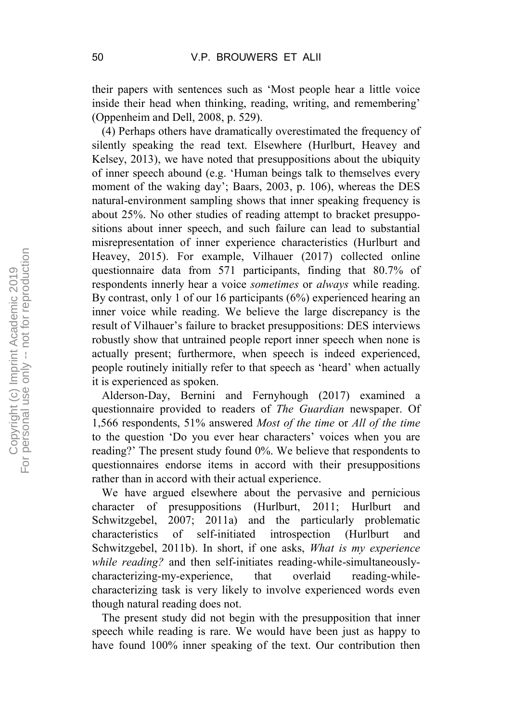their papers with sentences such as 'Most people hear a little voice inside their head when thinking, reading, writing, and remembering' (Oppenheim and Dell, 2008, p. 529).

(4) Perhaps others have dramatically overestimated the frequency of silently speaking the read text. Elsewhere (Hurlburt, Heavey and Kelsey, 2013), we have noted that presuppositions about the ubiquity of inner speech abound (e.g. 'Human beings talk to themselves every moment of the waking day'; Baars, 2003, p. 106), whereas the DES natural-environment sampling shows that inner speaking frequency is about 25%. No other studies of reading attempt to bracket presuppositions about inner speech, and such failure can lead to substantial misrepresentation of inner experience characteristics (Hurlburt and Heavey, 2015). For example, Vilhauer (2017) collected online questionnaire data from 571 participants, finding that 80.7% of respondents innerly hear a voice *sometimes* or *always* while reading. By contrast, only 1 of our 16 participants (6%) experienced hearing an inner voice while reading. We believe the large discrepancy is the result of Vilhauer's failure to bracket presuppositions: DES interviews robustly show that untrained people report inner speech when none is actually present; furthermore, when speech is indeed experienced, people routinely initially refer to that speech as 'heard' when actually it is experienced as spoken.

Alderson-Day, Bernini and Fernyhough (2017) examined a questionnaire provided to readers of *The Guardian* newspaper. Of 1,566 respondents, 51% answered *Most of the time* or *All of the time* to the question 'Do you ever hear characters' voices when you are reading?' The present study found 0%. We believe that respondents to questionnaires endorse items in accord with their presuppositions rather than in accord with their actual experience.

We have argued elsewhere about the pervasive and pernicious character of presuppositions (Hurlburt, 2011; Hurlburt and Schwitzgebel, 2007; 2011a) and the particularly problematic characteristics of self-initiated introspection (Hurlburt and Schwitzgebel, 2011b). In short, if one asks, *What is my experience while reading?* and then self-initiates reading-while-simultaneouslycharacterizing-my-experience, that overlaid reading-whilecharacterizing task is very likely to involve experienced words even though natural reading does not.

The present study did not begin with the presupposition that inner speech while reading is rare. We would have been just as happy to have found 100% inner speaking of the text. Our contribution then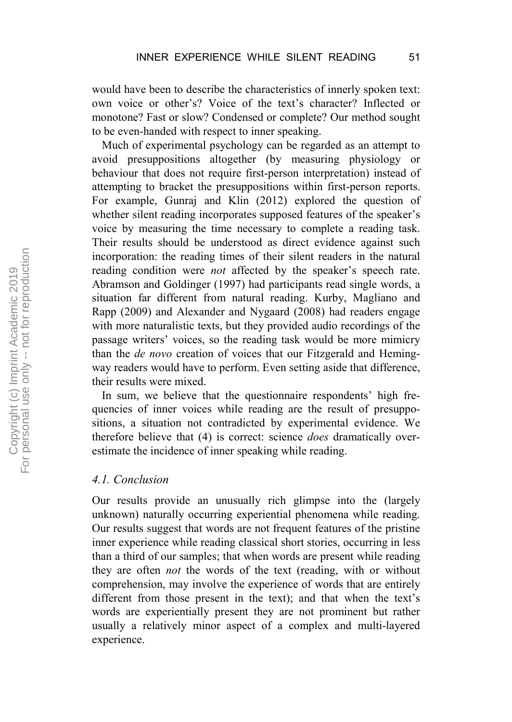would have been to describe the characteristics of innerly spoken text: own voice or other's? Voice of the text's character? Inflected or monotone? Fast or slow? Condensed or complete? Our method sought to be even-handed with respect to inner speaking.

Much of experimental psychology can be regarded as an attempt to avoid presuppositions altogether (by measuring physiology or behaviour that does not require first-person interpretation) instead of attempting to bracket the presuppositions within first-person reports. For example, Gunraj and Klin (2012) explored the question of whether silent reading incorporates supposed features of the speaker's voice by measuring the time necessary to complete a reading task. Their results should be understood as direct evidence against such incorporation: the reading times of their silent readers in the natural reading condition were *not* affected by the speaker's speech rate. Abramson and Goldinger (1997) had participants read single words, a situation far different from natural reading. Kurby, Magliano and Rapp (2009) and Alexander and Nygaard (2008) had readers engage with more naturalistic texts, but they provided audio recordings of the passage writers' voices, so the reading task would be more mimicry than the *de novo* creation of voices that our Fitzgerald and Hemingway readers would have to perform. Even setting aside that difference, their results were mixed.

In sum, we believe that the questionnaire respondents' high frequencies of inner voices while reading are the result of presuppositions, a situation not contradicted by experimental evidence. We therefore believe that (4) is correct: science *does* dramatically overestimate the incidence of inner speaking while reading.

#### *4.1. Conclusion*

Our results provide an unusually rich glimpse into the (largely unknown) naturally occurring experiential phenomena while reading. Our results suggest that words are not frequent features of the pristine inner experience while reading classical short stories, occurring in less than a third of our samples; that when words are present while reading they are often *not* the words of the text (reading, with or without comprehension, may involve the experience of words that are entirely different from those present in the text); and that when the text's words are experientially present they are not prominent but rather usually a relatively minor aspect of a complex and multi-layered experience.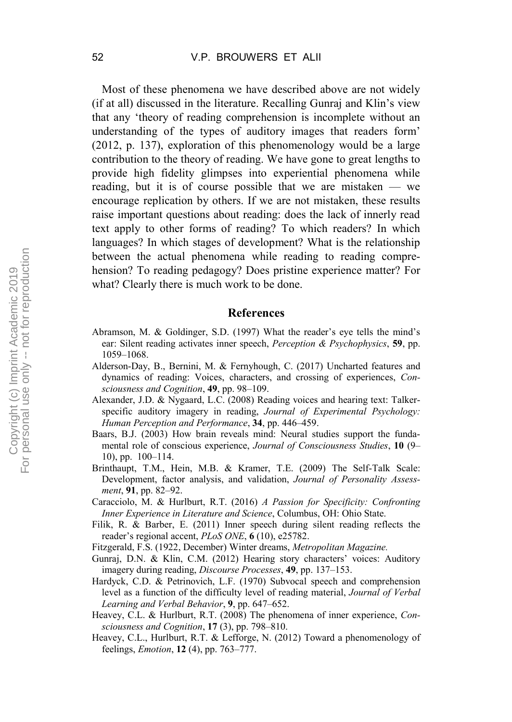Most of these phenomena we have described above are not widely (if at all) discussed in the literature. Recalling Gunraj and Klin's view that any 'theory of reading comprehension is incomplete without an understanding of the types of auditory images that readers form' (2012, p. 137), exploration of this phenomenology would be a large contribution to the theory of reading. We have gone to great lengths to provide high fidelity glimpses into experiential phenomena while reading, but it is of course possible that we are mistaken — we encourage replication by others. If we are not mistaken, these results raise important questions about reading: does the lack of innerly read text apply to other forms of reading? To which readers? In which languages? In which stages of development? What is the relationship between the actual phenomena while reading to reading comprehension? To reading pedagogy? Does pristine experience matter? For what? Clearly there is much work to be done.

#### **References**

- Abramson, M. & Goldinger, S.D. (1997) What the reader's eye tells the mind's ear: Silent reading activates inner speech, *Perception & Psychophysics*, **59**, pp. 1059–1068.
- Alderson-Day, B., Bernini, M. & Fernyhough, C. (2017) Uncharted features and dynamics of reading: Voices, characters, and crossing of experiences, *Consciousness and Cognition*, **49**, pp. 98–109.
- Alexander, J.D. & Nygaard, L.C. (2008) Reading voices and hearing text: Talkerspecific auditory imagery in reading, *Journal of Experimental Psychology: Human Perception and Performance*, **34**, pp. 446–459.
- Baars, B.J. (2003) How brain reveals mind: Neural studies support the fundamental role of conscious experience, *Journal of Consciousness Studies*, **10** (9– 10), pp. 100–114.
- Brinthaupt, T.M., Hein, M.B. & Kramer, T.E. (2009) The Self-Talk Scale: Development, factor analysis, and validation, *Journal of Personality Assessment*, **91**, pp. 82–92.
- Caracciolo, M. & Hurlburt, R.T. (2016) *A Passion for Specificity: Confronting Inner Experience in Literature and Science*, Columbus, OH: Ohio State.
- Filik, R. & Barber, E. (2011) Inner speech during silent reading reflects the reader's regional accent, *PLoS ONE*, **6** (10), e25782.
- Fitzgerald, F.S. (1922, December) Winter dreams, *Metropolitan Magazine.*
- Gunraj, D.N. & Klin, C.M. (2012) Hearing story characters' voices: Auditory imagery during reading, *Discourse Processes*, **49**, pp. 137–153.
- Hardyck, C.D. & Petrinovich, L.F. (1970) Subvocal speech and comprehension level as a function of the difficulty level of reading material, *Journal of Verbal Learning and Verbal Behavior*, **9**, pp. 647–652.
- Heavey, C.L. & Hurlburt, R.T. (2008) The phenomena of inner experience, *Consciousness and Cognition*, **17** (3), pp. 798–810.
- Heavey, C.L., Hurlburt, R.T. & Lefforge, N. (2012) Toward a phenomenology of feelings, *Emotion*, **12** (4), pp. 763–777.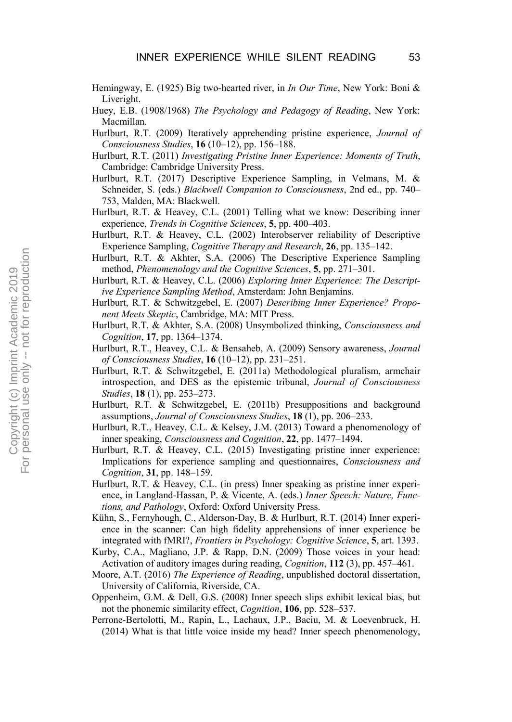- Hemingway, E. (1925) Big two-hearted river, in *In Our Time*, New York: Boni & Liveright.
- Huey, E.B. (1908/1968) *The Psychology and Pedagogy of Reading*, New York: Macmillan.
- Hurlburt, R.T. (2009) Iteratively apprehending pristine experience, *Journal of Consciousness Studies*, **16** (10–12), pp. 156–188.
- Hurlburt, R.T. (2011) *Investigating Pristine Inner Experience: Moments of Truth*, Cambridge: Cambridge University Press.
- Hurlburt, R.T. (2017) Descriptive Experience Sampling, in Velmans, M. & Schneider, S. (eds.) *Blackwell Companion to Consciousness*, 2nd ed., pp. 740– 753, Malden, MA: Blackwell.
- Hurlburt, R.T. & Heavey, C.L. (2001) Telling what we know: Describing inner experience, *Trends in Cognitive Sciences*, **5**, pp. 400–403.
- Hurlburt, R.T. & Heavey, C.L. (2002) Interobserver reliability of Descriptive Experience Sampling, *Cognitive Therapy and Research*, **26**, pp. 135–142.
- Hurlburt, R.T. & Akhter, S.A. (2006) The Descriptive Experience Sampling method, *Phenomenology and the Cognitive Sciences*, **5**, pp. 271–301.
- Hurlburt, R.T. & Heavey, C.L. (2006) *Exploring Inner Experience: The Descriptive Experience Sampling Method*, Amsterdam: John Benjamins.
- Hurlburt, R.T. & Schwitzgebel, E. (2007) *Describing Inner Experience? Proponent Meets Skeptic*, Cambridge, MA: MIT Press.
- Hurlburt, R.T. & Akhter, S.A. (2008) Unsymbolized thinking, *Consciousness and Cognition*, **17**, pp. 1364–1374.
- Hurlburt, R.T., Heavey, C.L. & Bensaheb, A. (2009) Sensory awareness, *Journal of Consciousness Studies*, **16** (10–12), pp. 231–251.
- Hurlburt, R.T. & Schwitzgebel, E. (2011a) Methodological pluralism, armchair introspection, and DES as the epistemic tribunal, *Journal of Consciousness Studies*, **18** (1), pp. 253–273.
- Hurlburt, R.T. & Schwitzgebel, E. (2011b) Presuppositions and background assumptions, *Journal of Consciousness Studies*, **18** (1), pp. 206–233.
- Hurlburt, R.T., Heavey, C.L. & Kelsey, J.M. (2013) Toward a phenomenology of inner speaking, *Consciousness and Cognition*, **22**, pp. 1477–1494.
- Hurlburt, R.T. & Heavey, C.L. (2015) Investigating pristine inner experience: Implications for experience sampling and questionnaires, *Consciousness and Cognition*, **31**, pp. 148–159.
- Hurlburt, R.T. & Heavey, C.L. (in press) Inner speaking as pristine inner experience, in Langland-Hassan, P. & Vicente, A. (eds.) *Inner Speech: Nature, Functions, and Pathology*, Oxford: Oxford University Press.
- Kühn, S., Fernyhough, C., Alderson-Day, B. & Hurlburt, R.T. (2014) Inner experience in the scanner: Can high fidelity apprehensions of inner experience be integrated with fMRI?, *Frontiers in Psychology: Cognitive Science*, **5**, art. 1393.
- Kurby, C.A., Magliano, J.P. & Rapp, D.N. (2009) Those voices in your head: Activation of auditory images during reading, *Cognition*, **112** (3), pp. 457–461.
- Moore, A.T. (2016) *The Experience of Reading*, unpublished doctoral dissertation, University of California, Riverside, CA.
- Oppenheim, G.M. & Dell, G.S. (2008) Inner speech slips exhibit lexical bias, but not the phonemic similarity effect, *Cognition*, **106**, pp. 528–537.
- Perrone-Bertolotti, M., Rapin, L., Lachaux, J.P., Baciu, M. & Loevenbruck, H. (2014) What is that little voice inside my head? Inner speech phenomenology,